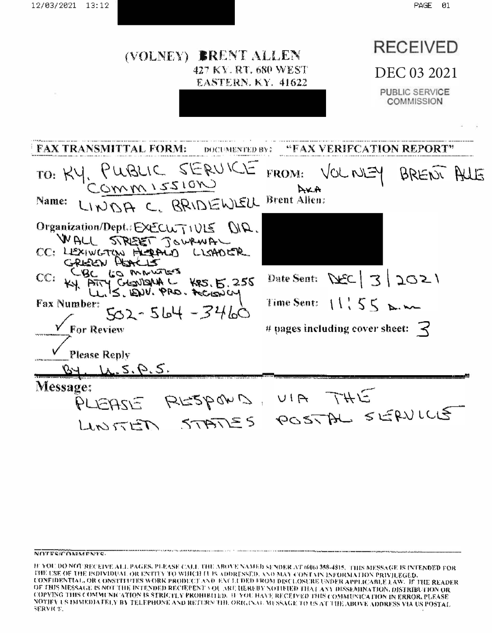

#### NOTES/COMMENTS.

IF YOU DO NOT RECEIVE ALL PAGES. PLEASE CALL THE ABOVE NAMED SENDER AT 606) 358-4815. THIS MESSAGE IS INTENDED FOR THE USE OF THE INDIVIDUAL OR ENTITY TO WIJICH II IS ADDRESSED, AND MAY CONTAIN INFORMATION PRIVILEGED. CONFIDENTIAL, OR CONSTITUTES WORK PRODUCT AND EXCLUDED FROM DISCLOSURE UNDER APPLICABLE LAW. IF THE READER OF THIS MESSAGE IS NOT THE INTENDED RECIEVENT VOL ART HEREBY NOTIFIED THAT ANY DISSEMINATION, DISTRIBUTION OR COPYING THIS COMMUNICATION IS STRICTLY PROHIBITED. IF YOU HAVE RECEIVED THIS COMMUNICATION IN ERROR, PLEASE NOTIFY US IMMEDIATELY BY TELEPHONE AND RETURN THE ORIGINAL WESSAGE TO US AT THE ABOVE ADDRESS VIA US POSTAL SERVICE.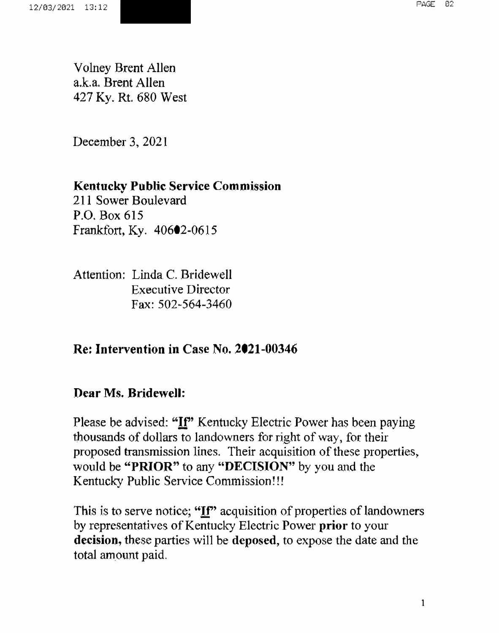Volney Brent Allen a.k.a. Brent Allen 427 Ky. Rt. 680 West

December 3, 2021

## **Kentucky Public Service Commission**

211 Sower Boulevard P.O. Box 615 Frankfort, Ky. 40602-0615

Attention: Linda C. Bridewell Executive Director Fax: 502-564-3460

### **Re: Intervention in Case No. 2021-00346**

### **Dear Ms. Bridewell:**

Please be advised: **"!f'** Kentucky Electric Power has been paying thousands of dollars to landowners for right of way, for their proposed transmission lines. Their acquisition of these properties, would be **"PRIOR"** to any **"DECISION"** by you and the Kentucky Public Service Commission!!!

This is to serve notice; "If" acquisition of properties of landowners by representatives of Kentucky Electric Power **prior** to your **decision,** these parties will be **deposed,** to expose the date and the total amount paid.